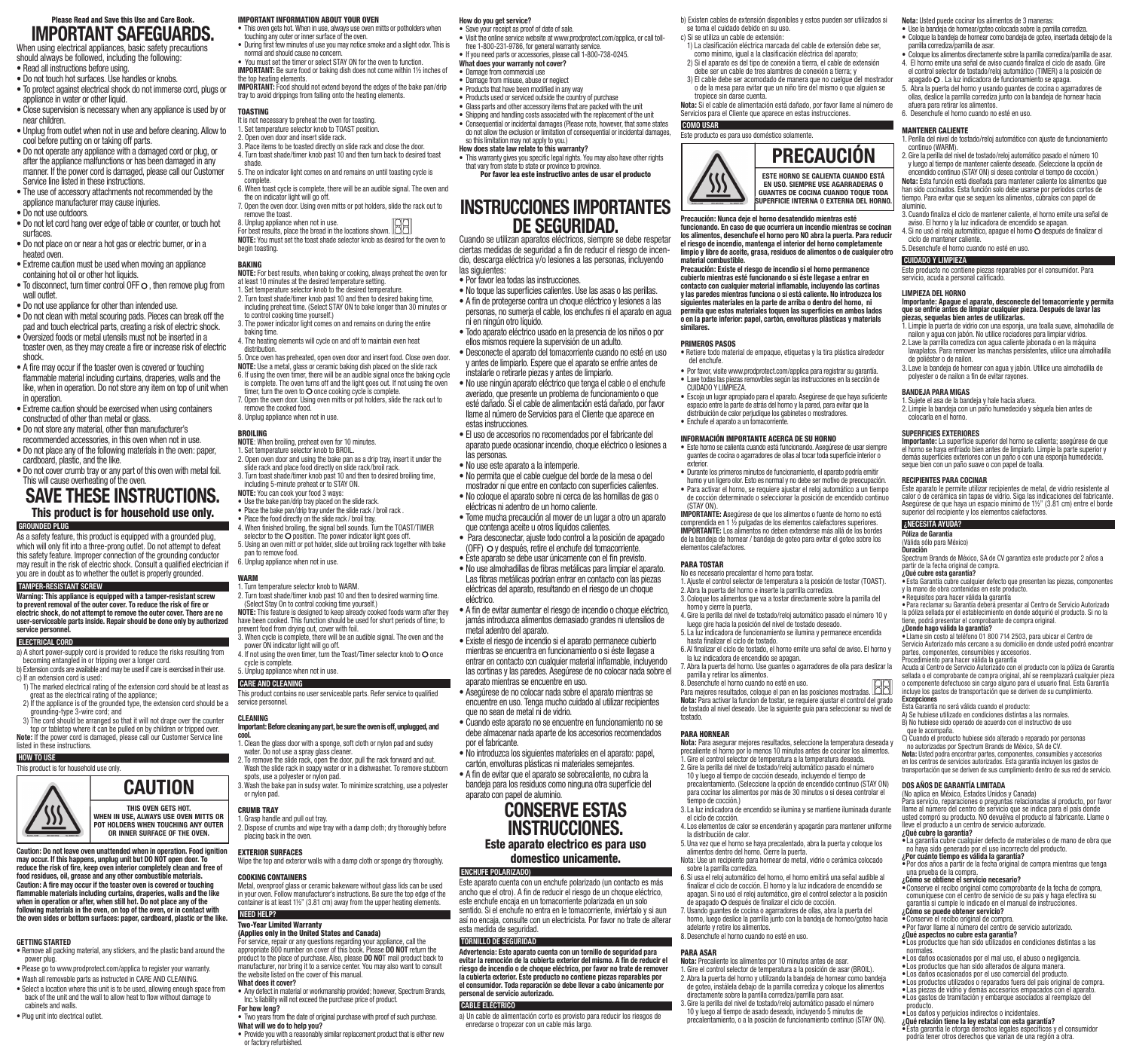**Nota:** Usted puede cocinar los alimentos de 3 maneras:

- Use la bandeja de hornear/goteo colocada sobre la parrilla corrediza. • Coloque la bandeja de hornear como bandeja de goteo, insertada debajo de la parrilla corrediza/parrilla de asar.
- Coloque los alimentos directamente sobre la parrilla corrediza/parrilla de asar. 4. El horno emite una señal de aviso cuando finaliza el ciclo de asado. Gire el control selector de tostado/reloj automático (TIMER) a la posición de apagado O . La luz indicadora de funcionamiento se apaga.
- 5. Abra la puerta del horno y usando guantes de cocina o agarradores de ollas, deslice la parrilla corrediza junto con la bandeja de hornear hacia afuera para retirar los alimentos.
- 6. Desenchufe el horno cuando no esté en uso.

### MANTENER CALIENTE

4. Si no usó el reloj automático, apague el horno O después de finalizar el ciclo de mantener caliente. 5. Desenchufe el horno cuando no esté en uso.

1. Perilla del nivel de tostado/reloj automático con ajuste de funcionamiento continuo (WARM).

2. Gire la perilla del nivel de tostado/reloj automático pasado el número 10 y luego al tiempo de mantener caliente deseado. (Seleccione la opción de encendido continuo (STAY ON) si desea controlar el tiempo de cocción.) **Nota:** Esta función está diseñada para mantener caliente los alimentos que han sido cocinados. Esta función solo debe usarse por períodos cortos de tiempo. Para evitar que se sequen los alimentos, cúbralos con papel de aluminio.

3. Cuando finaliza el ciclo de mantener caliente, el horno emite una señal de aviso. El horno y la luz indicadora de encendido se apagan.

## **CUIDADO Y LIMPIEZA**

Este producto no contiene piezas reparables por el consumidor. Para servicio, acuda a personal calificado.

### **LIMPIEZA DEL HORNO**

- **Importante: Apague el aparato, desconecte del tomacorriente y permita que se enfríe antes de limpiar cualquier pieza. Después de lavar las piezas, sequelas bien antes de utilizarlas.**
- 1. Limpie la puerta de vidrio con una esponja, una toalla suave, almohadilla de nailon y agua con jabón. No utilice rociadores para limpiar vidrios. 2. Lave la parrilla corrediza con agua caliente jabonada o en la máquina
- lavaplatos. Para remover las manchas persistentes, utilice una almohadilla de poliéster o de nailon.
- 3. Lave la bandeja de hornear con agua y jabón. Utilice una almohadilla de polyester o de nailon a fin de evitar rayones.

### **BANDEJA PARA MIGAS**

- 1. Sujete el asa de la bandeja y hale hacia afuera.
- 2. Limpie la bandeja con un paño humedecido y séquela bien antes de colocarla en el horno.

### **SUPERFICIES EXTERIORES**

**Importante:** La superficie superior del horno se calienta; asegúrese de que el horno se haya enfriado bien antes de limpiarlo. Limpie la parte superior y demás superficies exteriores con un paño o con una esponja humedecida. seque bien con un paño suave o con papel de toalla.

### **RECIPIENTES PARA COCINAR**

Este aparato le permite utilizar recipientes de metal, de vidrio resistente al calor o de cerámica sin tapas de vidrio. Siga las indicaciones del fabricante. Asegúrese de que haya un espacio mínimo de 1½" (3.81 cm) entre el borde superior del recipiente y los elementos calefactores.

### **¿NECESITA AYUDA? Póliza de Garantía** (Válida sólo para México)

**Duración** 

Spectrum Brands de México, SA de CV garantiza este producto por 2 años a partir de la fecha original de compra. **¿Qué cubre esta garantía?**

• Esta Garantía cubre cualquier defecto que presenten las piezas, componentes

y la mano de obra contenidas en este producto. • Requisitos para hacer válida la garantía

• Para reclamar su Garantía deberá presentar al Centro de Servicio Autorizado la póliza sellada por el establecimiento en donde adquirió el producto. Si no la tiene, podrá presentar el comprobante de compra original.

**¿Donde hago válida la garantía?** • Llame sin costo al teléfono 01 800 714 2503, para ubicar el Centro de Servicio Autorizado más cercano a su domicilio en donde usted podrá encontrar partes, componentes, consumibles y accesorios.

Procedimiento para hacer válida la garantía Acuda al Centro de Servicio Autorizado con el producto con la póliza de Garantía sellada o el comprobante de compra original, ahí se reemplazará cualquier pieza o componente defectuoso sin cargo alguno para el usuario final. Esta Garantía incluye los gastos de transportación que se deriven de su cumplimiento. **Excepciones**

- Esta Garantía no será válida cuando el producto:
- A) Se hubiese utilizado en condiciones distintas a las normales. B) No hubiese sido operado de acuerdo con el instructivo de uso
- que le acompaña.
- C) Cuando el producto hubiese sido alterado o reparado por personas no autorizadas por Spectrum Brands de México, SA de CV.
- **Nota:** Usted podra encontrar partes, componentes, consumibles y accesorios en los centros de servicios autorizados. Esta garantía incluyen los gastos de transportación que se deriven de sus cumplimiento dentro de sus red de servicio.

### **DOS AÑOS DE GARANTÍA LIMITADA**

(No aplica en México, Estados Unidos y Canada) Para servicio, reparaciones o preguntas relacionadas al producto, por favor llame al número del centro de servicio que se indica para el país donde usted compró su producto. NO devuélva el producto al fabricante. Llame o lleve el producto a un centro de servicio autorizado.

- **¿Qué cubre la garantía?**
- La garantía cubre cualquier defecto de materiales o de mano de obra que no haya sido generado por el uso incorrecto del producto. **¿Por cuánto tiempo es válida la garantía?**
- Por dos años a partir de la fecha original de compra mientras que tenga una prueba de la compra.
- **¿Cómo se obtiene el servicio necesario?**
- Conserve el recibo original como comprobante de la fecha de compra, comuníquese con el centro de servicio de su país y haga efectiva su garantía si cumple lo indicado en el manual de instrucciones. **¿Cómo se puede obtener servicio?**
- •Conserve el recibo original de compra.
- Por favor llame al número del centro de servicio autorizado.
- **¿Qué aspectos no cubre esta garantía?**
- Los productos que han sido utilizados en condiciones distintas a las normales. • Los daños ocasionados por el mal uso, el abuso o negligencia.
- Los productos que han sido alterados de alguna manera.
- Los daños ocasionados por el uso comercial del producto.
- Los productos utilizados o reparados fuera del país original de compra.
- Las piezas de vidrio y demás accesorios empacados con el aparato.
- Los gastos de tramitación y embarque asociados al reemplazo del producto.
- Los daños y perjuicios indirectos o incidentales.
- **¿Qué relación tiene la ley estatal con esta garantía?** • Esta garantía le otorga derechos legales específicos y el consumidor podría tener otros derechos que varían de una región a otra.
- It is not necessary to preheat the oven for toasting. 1. Set temperature selector knob to TOAST position.
- 2. Open oven door and insert slide rack.
- 3. Place items to be toasted directly on slide rack and close the door. 4. Turn toast shade/timer knob past 10 and then turn back to desired toast
- shade. 5. The on indicator light comes on and remains on until toasting cycle is complete.
- 6. When toast cycle is complete, there will be an audible signal. The oven and the on indicator light will go off.
- 7. Open the oven door. Using oven mitts or pot holders, slide the rack out to remove the toast.
- 8. Unplug appliance when not in use. For best results, place the bread in the locations shown.  $\Box$

### **RAKING NOTE:** For best results, when baking or cooking, always preheat the oven for at least 10 minutes at the desired temperature setting.

## Please Read and Save this Use and Care Book. **IMPORTANT SAFEGUARDS.**

When using electrical appliances, basic safety precautions should always be followed, including the following:

- timer, turn the oven to  $O$  once cooking cycle is complete. 7. Open the oven door. Using oven mitts or pot holders, slide the rack out to
- remove the cooked food. 8. Unplug appliance when not in use.
- Read all instructions before using.
- Do not touch hot surfaces. Use handles or knobs.
- To protect against electrical shock do not immerse cord, plugs or appliance in water or other liquid.
- Close supervision is necessary when any appliance is used by or near children.
- Unplug from outlet when not in use and before cleaning. Allow to cool before putting on or taking off parts.
- Do not operate any appliance with a damaged cord or plug, or after the appliance malfunctions or has been damaged in any manner. If the power cord is damaged, please call our Customer Service line listed in these instructions.
- The use of accessory attachments not recommended by the appliance manufacturer may cause injuries.
- Do not use outdoors.
- Do not let cord hang over edge of table or counter, or touch hot surfaces.
- Do not place on or near a hot gas or electric burner, or in a heated oven.
- Extreme caution must be used when moving an appliance containing hot oil or other hot liquids. • To disconnect, turn timer control OFF  $\circ$ , then remove plug from
- wall outlet.
- Do not use appliance for other than intended use. • Do not clean with metal scouring pads. Pieces can break off the
- pad and touch electrical parts, creating a risk of electric shock. • Oversized foods or metal utensils must not be inserted in a
- toaster oven, as they may create a fire or increase risk of electric shock. • A fire may occur if the toaster oven is covered or touching
- flammable material including curtains, draperies, walls and the like, when in operation. Do not store any item on top of unit when in operation.
- Extreme caution should be exercised when using containers constructed of other than metal or glass.
- Do not store any material, other than manufacturer's recommended accessories, in this oven when not in use.
- Do not place any of the following materials in the oven: paper, cardboard, plastic, and the like.
- Do not cover crumb tray or any part of this oven with metal foil. This will cause overheating of the oven.

### **How do you get service?** • Save your receipt as proof of date of sale.

## **SAVE THESE INSTRUCTIONS.** This product is for household use only. **GROUNDED PLUG**

As a safety feature, this product is equipped with a grounded plug, which will only fit into a three-prong outlet. Do not attempt to defeat this safety feature. Improper connection of the grounding conductor may result in the risk of electric shock. Consult a qualified electrician if you are in doubt as to whether the outlet is properly grounded. **TAMPER-RESISTANT SCREW**

**Warning: This appliance is equipped with a tamper-resistant screw to prevent removal of the outer cover. To reduce the risk of fire or electric shock, do not attempt to remove the outer cover. There are no user-serviceable parts inside. Repair should be done only by authorized service personnel.**

## **ELECTRICAL CORD**

a) A short power-supply cord is provided to reduce the risks resulting from becoming entangled in or tripping over a longer cord.

- b) Extension cords are available and may be used if care is exercised in their use. c) If an extension cord is used:
- 1) The marked electrical rating of the extension cord should be at least as great as the electrical rating of the appliance;
- 2) If the appliance is of the grounded type, the extension cord should be a grounding-type 3-wire cord; and 3) The cord should be arranged so that it will not drape over the counter

top or tabletop where it can be pulled on by children or tripped over. **Note:** If the power cord is damaged, please call our Customer Service line listed in these instructions.

### **HOW TO USE** This product is for household use only.



**Caution: Do not leave oven unattended when in operation. Food ignition may occur. If this happens, unplug unit but DO NOT open door. To reduce the risk of fire, keep oven interior completely clean and free of food residues, oil, grease and any other combustible materials. Caution: A fire may occur if the toaster oven is covered or touching flammable materials including curtains, draperies, walls and the like when in operation or after, when still hot. Do not place any of the following materials in the oven, on top of the oven, or in contact with the oven sides or bottom surfaces: paper, cardboard, plastic or the like.**

## **GETTING STARTED**

- Remove all packing material, any stickers, and the plastic band around the power plug.
- Please go to www.prodprotect.com/applica to register your warranty. • Wash all removable parts as instructed in CARE AND CLEANING.
- Select a location where this unit is to be used, allowing enough space from
- back of the unit and the wall to allow heat to flow without damage to cabinets and walls.
- Plug unit into electrical outlet.

 $\acute{}$  se toma el cuidado debido en su uso. c) Si se utiliza un cable de extensión:

CAUTION

THIS OVEN GETS HOT. WHEN IN USE, ALWAYS USE OVEN MITTS OR POT HOLDERS WHEN TOUCHING ANY OUTER OR INNER SURFACE OF THE OVEN.

## IMPORTANT INFORMATION ABOUT YOUR OVEN

- This oven gets hot. When in use, always use oven mitts or potholders when touching any outer or inner surface of the oven.
- During first few minutes of use you may notice smoke and a slight odor. This is normal and should cause no concern.
- You must set the timer or select STAY ON for the oven to function. **IMPORTANT:** Be sure food or baking dish does not come within 1½ inches of the top heating elements.
- **IMPORTANT:** Food should not extend beyond the edges of the bake pan/drip tray to avoid drippings from falling onto the heating elements.

### TOASTING

### **NOTE:** You must set the toast shade selector knob as desired for the oven to begin toasting.

1. Set temperature selector knob to the desired temperature.

- 2. Turn toast shade/timer knob past 10 and then to desired baking time,
- including preheat time. (Select STAY ON to bake longer than 30 minutes or to control cooking time yourself.) 3. The power indicator light comes on and remains on during the entire
- baking time. 4. The heating elements will cycle on and off to maintain even heat
- distribution. 5. Once oven has preheated, open oven door and insert food. Close oven door.

**NOTE:** Use a metal, glass or ceramic baking dish placed on the slide rack 6. If using the oven timer, there will be an audible signal once the baking cycle is complete. The oven turns off and the light goes out. If not using the oven

> de apagado O después de finalizar el ciclo de cocción. 7. Usando guantes de cocina o agarradores de ollas, abra la puerta del

## BROILING

- **NOTE**: When broiling, preheat oven for 10 minutes.
- 1. Set temperature selector knob to BROIL.
- 2. Open oven door and using the bake pan as a drip tray, insert it under the slide rack and place food directly on slide rack/broil rack.
- 3. Turn toast shade/timer knob past 10 and then to desired broiling time, including 5-minute preheat or to STAY ON.
- **NOTE:** You can cook your food 3 ways:
- Use the bake pan/drip tray placed on the slide rack.
- Place the bake pan/drip tray under the slide rack / broil rack. • Place the food directly on the slide rack / broil tray.
- 4. When finished broiling, the signal bell sounds. Turn the TOAST/TIMER
- selector to the  $\Theta$  position. The power indicator light goes off. 5. Using an oven mitt or pot holder, slide out broiling rack together with bake pan to remove food.

6. Unplug appliance when not in use.

## **WARM**

- 1. Turn temperature selector knob to WARM. 2. Turn toast shade/timer knob past 10 and then to desired warming time. (Select Stay On to control cooking time yourself.)
- **NOTE:** This feature is designed to keep already cooked foods warm after they have been cooked. This function should be used for short periods of time; to
- prevent food from drying out, cover with foil. 3. When cycle is complete, there will be an audible signal. The oven and the
- power ON indicator light will go off. 4. If not using the oven timer, turn the Toast/Timer selector knob to  $O$  once cycle is complete.

## 5. Unplug appliance when not in use.

**CARE AND CLEANING** This product contains no user serviceable parts. Refer service to qualified service personnel.

## **CLEANING**

### **Important: Before cleaning any part, be sure the oven is off, unplugged, and cool.**

- 1. Clean the glass door with a sponge, soft cloth or nylon pad and sudsy water. Do not use a spray glass cleaner. 2. To remove the slide rack, open the door, pull the rack forward and out.
- Wash the slide rack in soapy water or in a dishwasher. To remove stubborn spots, use a polyester or nylon pad.
- 3. Wash the bake pan in sudsy water. To minimize scratching, use a polyester or nylon pad.

## CRUMB TRAY

## 1. Grasp handle and pull out tray.

2. Dispose of crumbs and wipe tray with a damp cloth; dry thoroughly before placing back in the oven.

EXTERIOR SURFACES Wipe the top and exterior walls with a damp cloth or sponge dry thoroughly.

## COOKING CONTAINERS

Metal, ovenproof glass or ceramic bakeware without glass lids can be used in your oven. Follow manufacturer's instructions. Be sure the top edge of the container is at least 1½" (3.81 cm) away from the upper heating elements. **NEED HELP?**

## Two-Year Limited Warranty

## (Applies only in the United States and Canada)

For service, repair or any questions regarding your appliance, call the appropriate 800 number on cover of this book. Please **DO NOT** return the product to the place of purchase. Also, please **DO NO**T mail product back to manufacturer, nor bring it to a service center. You may also want to consult the website listed on the cover of this manual. **What does it cover?**

- Any defect in material or workmanship provided; however, Spectrum Brands, Inc.'s liability will not exceed the purchase price of product. **For how long?**
- Two years from the date of original purchase with proof of such purchase.
	- **What will we do to help you?** • Provide you with a reasonably similar replacement product that is either new or factory refurbished.

• Visit the online service website at www.prodprotect.com/applica, or call toll-

free 1-800-231-9786, for general warranty service. • If you need parts or accessories, please call 1-800-738-0245.

**What does your warranty not cover?** • Damage from commercial use • Damage from misuse, abuse or neglect • Products that have been modified in any way

• Products used or serviced outside the country of purchase • Glass parts and other accessory items that are packed with the unit • Shipping and handling costs associated with the replacement of the unit • Consequential or incidental damages (Please note, however, that some states do not allow the exclusion or limitation of consequential or incidental damages,

so this limitation may not apply to you.) **How does state law relate to this warranty?**

• This warranty gives you specific legal rights. You may also have other rights

that vary from state to state or province to province.

Por favor lea este instructivo antes de usar el producto

**INSTRUCCIONES IMPORTANTES** 

**DE SEGURIDAD.** Cuando se utilizan aparatos eléctricos, siempre se debe respetar ciertas medidas de seguridad a fin de reducir el riesgo de incendio, descarga eléctrica y/o lesiones a las personas, incluyendo

• Por favor lea todas las instrucciones.

• No toque las superficies calientes. Use las asas o las perillas. • A fin de protegerse contra un choque eléctrico y lesiones a las personas, no sumerja el cable, los enchufes ni el aparato en agua

ni en ningún otro líquido.

• Todo aparato eléctrico usado en la presencia de los niños o por

ellos mismos requiere la supervisión de un adulto.

• Desconecte el aparato del tomacorriente cuando no esté en uso y antes de limpiarlo. Espere que el aparato se enfrie antes de

instalarle o retirarle piezas y antes de limpiarlo.

• No use ningún aparato eléctrico que tenga el cable o el enchufe averiado, que presente un problema de funcionamiento o que esté dañado. Si el cable de alimentación está dañado, por favor llame al número de Servicios para el Cliente que aparece en

estas instrucciones.

• El uso de accesorios no recomendados por el fabricante del aparato puede ocasionar incendio, choque eléctrico o lesiones a

las personas.

• No use este aparato a la intemperie.

• No permita que el cable cuelgue del borde de la mesa o del mostrador ni que entre en contacto con superficies calientes. • No coloque el aparato sobre ni cerca de las hornillas de gas o

eléctricas ni adentro de un horno caliente.

• Tome mucha precaución al mover de un lugar a otro un aparato

que contenga aceite u otros líquidos calientes.

• Para desconectar, ajuste todo control a la posición de apagado (OFF)  $\sigma$  y después, retire el enchufe del tomacorriente. • Este aparato se debe usar únicamente con el fin previsto. • No use almohadillas de fibras metálicas para limpiar el aparato. Las fibras metálicas podrían entrar en contacto con las piezas eléctricas del aparato, resultando en el riesgo de un choque

eléctrico.

• A fin de evitar aumentar el riesgo de incendio o choque eléctrico, jamás introduzca alimentos demasiado grandes ni utensilios de

metal adentro del aparato.

• Existe el riesgo de incendio si el aparato permanece cubierto mientras se encuentra en funcionamiento o si éste llegase a entrar en contacto con cualquier material inflamable, incluyendo las cortinas y las paredes. Asegúrese de no colocar nada sobre el

aparato mientras se encuentre en uso.

• Asegúrese de no colocar nada sobre el aparato mientras se encuentre en uso. Tenga mucho cuidado al utilizar recipientes

que no sean de metal ni de vidrio.

• Cuando este aparato no se encuentre en funcionamiento no se debe almacenar nada aparte de los accesorios recomendados

por el fabricante.

• No introduzca los siguientes materiales en el aparato: papel, cartón, envolturas plásticas ni materiales semejantes. • A fin de evitar que el aparato se sobrecaliente, no cubra la bandeja para los residuos como ninguna otra superficie del

aparato con papel de aluminio.

**CONSERVE ESTAS** 

**INSTRUCCIONES.** Este aparato electrico es para uso domestico unicamente.

**ENCHUFE POLARIZADO)**

Este aparato cuenta con un enchufe polarizado (un contacto es más ancho que el otro). A fin de reducir el riesgo de un choque eléctrico, este enchufe encaja en un tomacorriente polarizada en un solo sentido. Si el enchufe no entra en le tomacorriente, inviértalo y si aun así no encaja, consulte con un electricista. Por favor no trate de alterar

esta medida de seguridad. **TORNILLO DE SEGURIDAD**

**Advertencia: Este aparato cuenta con un tornillo de seguridad para evitar la remoción de la cubierta exterior del mismo. A fin de reducir el riesgo de incendio o de choque eléctrico, por favor no trate de remover la cubierta exterior. Este producto no contiene piezas reparables por el consumidor. Toda reparación se debe llevar a cabo únicamente por** 

**personal de servicio autorizado.**

**CABLE ELÉCTRICO**

las siguientes:

a) Un cable de alimentación corto es provisto para reducir los riesgos de

enredarse o tropezar con un cable más largo.

b) Existen cables de extensión disponibles y estos pueden ser utilizados si

1) La clasificación eléctrica marcada del cable de extensión debe ser,

como mínimo, igual a la clasificación eléctrica del aparato;

- 2) Si el aparato es del tipo de conexión a tierra, el cable de extensión
- debe ser un cable de tres alambres de conexión a tierra; y 3) El cable debe ser acomodado de manera que no cuelgue del mostrador o de la mesa para evitar que un niño tire del mismo o que alguien se

tropiece sin darse cuenta.

**Nota:** Si el cable de alimentación está dañado, por favor llame al número de

Servicios para el Cliente que aparece en estas instrucciones.

**COMO USAR**

Este producto es para uso doméstico solamente.

**Precaución: Nunca deje el horno desatendido mientras esté funcionando. En caso de que ocurriera un incendio mientras se cocinan los alimentos, desenchufe el horno pero NO abra la puerta. Para reducir** 

**el riesgo de incendio, mantenga el interior del horno completamente limpio y libre de aceite, grasa, residuos de alimentos o de cualquier otro Precaución: Existe el riesgo de incendio si el horno permanence** 

**material combustible.** 

**cubierto mientras esté funcionando o si éste llegase a entrar en contacto con cualquier material inflamable, incluyendo las cortinas y las paredes mientras funciona o si está caliente. No introduzca los siguientes materiales en la parte de arriba o dentro del horno, ni permita que estos materiales toquen las superficies en ambos lados o en la parte inferior: papel, cartón, envolturas plásticas y materials** 

**similares.** 

PRIMEROS PASOS

• Retiere todo material de empaque, etiquetas y la tira plástica alrededor

del enchufe.

• Por favor, visite www.prodprotect.com/applica para registrar su garantía. • Lave todas las piezas removibles según las instrucciones en la sección de

CUIDADO Y LIMPIEZA.

• Escoja un lugar apropiado para el aparato. Asegúrese de que haya suficiente espacio entre la parte de atrás del horno y la pared, para evitar que la distribuición de calor perjudique los gabinetes o mostradores.

• Enchufe el aparato a un tomacorriente.

### INFORMACIÓN IMPORTANTE ACERCA DE SU HORNO

• Este horno se calienta cuando está funcionando. Asegúrese de usar siempre guantes de cocina o agarradores de ollas al tocar toda superficie interior o

exterior.

• Durante los primeros minutos de funcionamiento, el aparato podría emitir humo y un ligero olor. Esto es normal y no debe ser motivo de preocupación. • Para activar el horno, se requiere ajustar el reloj automático a un tiempo de cocción determinado o seleccionar la posición de encendido continuo

(STAY ON).

**IMPORTANTE: A**segúrese de que los alimentos o fuente de horno no está comprendida en 1 ½ pulgadas de los elementos calefactores superiores. **IMPORTANTE:** Los alimentos no deben extenderse más allá de los bordes de la bandeja de hornear / bandeja de goteo para evitar el goteo sobre los

elementos calefactores.

PARA TOSTAR

No es necesario precalentar el horno para tostar.

1. Ajuste el control selector de temperatura a la posición de tostar (TOAST). 2. Abra la puerta del horno e inserte la parrilla corrediza.

3. Coloque los alimentos que va a tostar directamente sobre la parrilla del

horno y cierre la puerta.

4. Gire la perilla del nivel de tostado/reloj automático pasado el número 10 y luego gire hacia la posición del nivel de tostado deseado.

5. La luz indicadora de funcionamiento se ilumina y permanece encendida

hasta finalizar el ciclo de tostado.

6. Al finalizar el ciclo de tostado, el horno emite una señal de aviso. El horno y

la luz indicadora de encendido se apagan.

7. Abra la puerta del horno. Use guantes o agarradores de olla para deslizar la

parrilla y retirar los alimentos.

8. Desenchufe el horno cuando no esté en uso.

Para mejores resultados, coloque el pan en las posiciones mostradas. **Nota:** Para activar la funcion de tostar, se requiere ajustar el control del grado de tostado al nivel deseado. Use la siguiente guía para seleccionar su nivel de

tostado.

PARA HORNEAR

**Nota:** Para asegurar mejores resultados, seleccione la temperatura deseada y precaliente el horno por lo menos 10 minutos antes de cocinar los alimentos. 1. Gire el control selector de temperatura a la temperatura deseada.

2. Gire la perilla del nivel de tostado/reloj automático pasado el número

10 y luego al tiempo de cocción deseado, incluyendo el tiempo de

precalentamiento. (Seleccione la opción de encendido continuo (STAY ON) para cocinar los alimentos por más de 30 minutos o si desea controlar el

tiempo de cocción.)

3. La luz indicadora de encendido se ilumina y se mantiene iluminada durante

el ciclo de cocción.

4. Los elementos de calor se encenderán y apagarán para mantener uniforme

la distribución de calor.

5. Una vez que el horno se haya precalentado, abra la puerta y coloque los

alimentos dentro del horno. Cierre la puerta.

Nota: Use un recipiente para hornear de metal, vidrio o cerámica colocado

sobre la parrilla corrediza.

6. Si usa el reloj automático del horno, el horno emitirá una señal audible al finalizar el ciclo de cocción. El horno y la luz indicadora de encendido se apagan. Si no usó el reloj automático, gire el control selector a la posición

horno, luego deslice la parrilla junto con la bandeja de horneo/goteo hacia

adelante y retire los alimentos.

8. Desenchufe el horno cuando no esté en uso.

PARA ASAR

**Nota:** Precaliente los alimentos por 10 minutos antes de asar.

1. Gire el control selector de temperatura a la posición de asar (BROIL).

- 2. Abra la puerta del horno y utilizando la bandeja de hornear como bandeja de goteo, instálela debajo de la parrilla corrediza y coloque los alimentos directamente sobre la parrilla corrediza/parrilla para asar.
- 3. Gire la perilla del nivel de tostado/reloj automático pasado el número 10 y luego al tiempo de asado deseado, incluyendo 5 minutos de
- precalentamiento, o a la posición de funcionamiento continuo (STAY ON).

# PRECAUCIÓN

ESTE HORNO SE CALIENTA CUANDO ESTÁ EN USO. SIEMPRE USE AGARRADERAS O GUANTES DE COCINA CUANDO TOQUE TODA SUPERFICIE INTERNA O EXTERNA DEL HORNO.